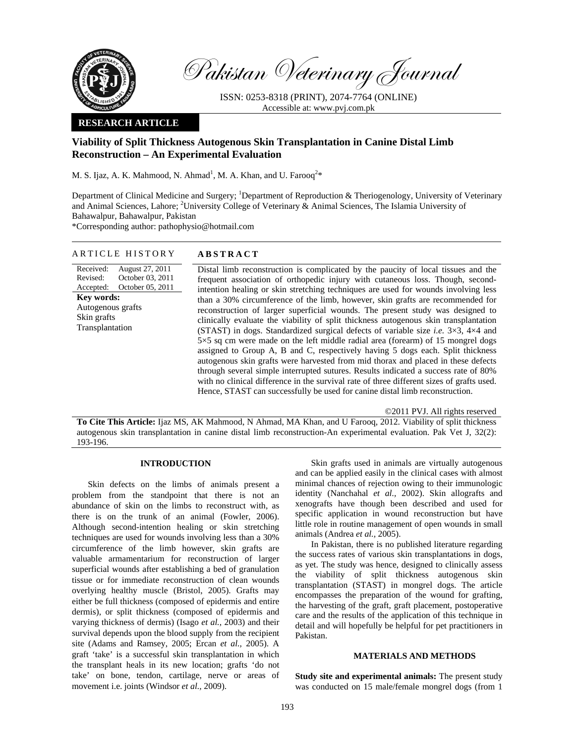

Pakistan Veterinary Journal

ISSN: 0253-8318 (PRINT), 2074-7764 (ONLINE) Accessible at: www.pvj.com.pk

### **RESEARCH ARTICLE**

# **Viability of Split Thickness Autogenous Skin Transplantation in Canine Distal Limb Reconstruction – An Experimental Evaluation**

M. S. Ijaz, A. K. Mahmood, N. Ahmad<sup>1</sup>, M. A. Khan, and U. Farooq<sup>2\*</sup>

Department of Clinical Medicine and Surgery; <sup>1</sup>Department of Reproduction & Theriogenology, University of Veterinary and Animal Sciences, Lahore; <sup>2</sup>University College of Veterinary  $\&$  Animal Sciences, The Islamia University of Bahawalpur, Bahawalpur, Pakistan

\*Corresponding author: pathophysio@hotmail.com

### ARTICLE HISTORY **ABSTRACT**

Received: Revised: Accepted: August 27, 2011 October 03, 2011 October 05, 2011 **Key words:**  Autogenous grafts Skin grafts Transplantation

Distal limb reconstruction is complicated by the paucity of local tissues and the frequent association of orthopedic injury with cutaneous loss. Though, secondintention healing or skin stretching techniques are used for wounds involving less than a 30% circumference of the limb, however, skin grafts are recommended for reconstruction of larger superficial wounds. The present study was designed to clinically evaluate the viability of split thickness autogenous skin transplantation (STAST) in dogs. Standardized surgical defects of variable size *i.e.* 3×3, 4×4 and 5×5 sq cm were made on the left middle radial area (forearm) of 15 mongrel dogs assigned to Group A, B and C, respectively having 5 dogs each. Split thickness autogenous skin grafts were harvested from mid thorax and placed in these defects through several simple interrupted sutures. Results indicated a success rate of 80% with no clinical difference in the survival rate of three different sizes of grafts used. Hence, STAST can successfully be used for canine distal limb reconstruction.

©2011 PVJ. All rights reserved

**To Cite This Article:** Ijaz MS, AK Mahmood, N Ahmad, MA Khan, and U Farooq, 2012. Viability of split thickness autogenous skin transplantation in canine distal limb reconstruction-An experimental evaluation. Pak Vet J, 32(2): 193-196.

### **INTRODUCTION**

Skin defects on the limbs of animals present a problem from the standpoint that there is not an abundance of skin on the limbs to reconstruct with, as there is on the trunk of an animal (Fowler, 2006). Although second-intention healing or skin stretching techniques are used for wounds involving less than a 30% circumference of the limb however, skin grafts are valuable armamentarium for reconstruction of larger superficial wounds after establishing a bed of granulation tissue or for immediate reconstruction of clean wounds overlying healthy muscle (Bristol, 2005). Grafts may either be full thickness (composed of epidermis and entire dermis), or split thickness (composed of epidermis and varying thickness of dermis) (Isago *et al.,* 2003) and their survival depends upon the blood supply from the recipient site (Adams and Ramsey, 2005; Ercan *et al.,* 2005). A graft 'take' is a successful skin transplantation in which the transplant heals in its new location; grafts 'do not take' on bone, tendon, cartilage, nerve or areas of movement i.e. joints (Windsor *et al.,* 2009).

Skin grafts used in animals are virtually autogenous and can be applied easily in the clinical cases with almost minimal chances of rejection owing to their immunologic identity (Nanchahal *et al.,* 2002). Skin allografts and xenografts have though been described and used for specific application in wound reconstruction but have little role in routine management of open wounds in small animals (Andrea *et al.,* 2005).

In Pakistan, there is no published literature regarding the success rates of various skin transplantations in dogs, as yet. The study was hence, designed to clinically assess the viability of split thickness autogenous skin transplantation (STAST) in mongrel dogs. The article encompasses the preparation of the wound for grafting, the harvesting of the graft, graft placement, postoperative care and the results of the application of this technique in detail and will hopefully be helpful for pet practitioners in Pakistan.

## **MATERIALS AND METHODS**

**Study site and experimental animals:** The present study was conducted on 15 male/female mongrel dogs (from 1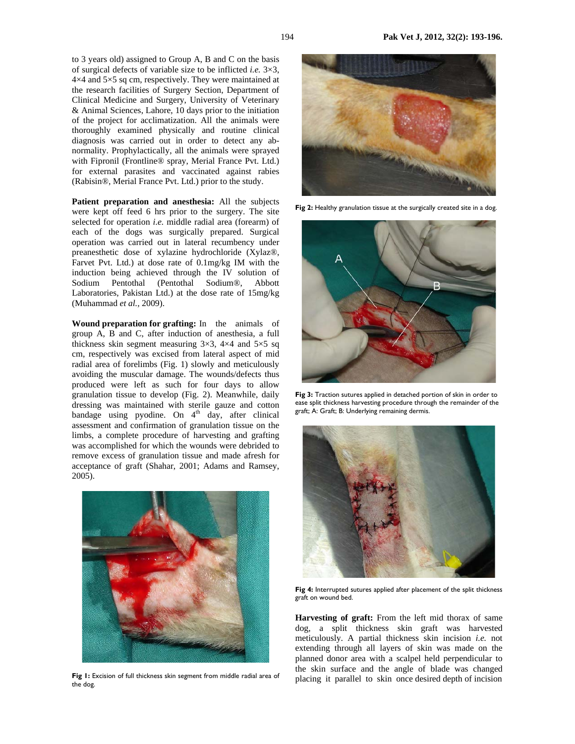to 3 years old) assigned to Group A, B and C on the basis of surgical defects of variable size to be inflicted *i.e.* 3×3, 4×4 and 5×5 sq cm, respectively. They were maintained at the research facilities of Surgery Section, Department of Clinical Medicine and Surgery, University of Veterinary & Animal Sciences, Lahore, 10 days prior to the initiation of the project for acclimatization. All the animals were thoroughly examined physically and routine clinical diagnosis was carried out in order to detect any abnormality. Prophylactically, all the animals were sprayed with Fipronil (Frontline® spray, Merial France Pvt. Ltd.) for external parasites and vaccinated against rabies (Rabisin®, Merial France Pvt. Ltd.) prior to the study.

**Patient preparation and anesthesia:** All the subjects were kept off feed 6 hrs prior to the surgery. The site selected for operation *i.e.* middle radial area (forearm) of each of the dogs was surgically prepared. Surgical operation was carried out in lateral recumbency under preanesthetic dose of xylazine hydrochloride (Xylaz®, Farvet Pvt. Ltd.) at dose rate of 0.1mg/kg IM with the induction being achieved through the IV solution of Sodium Pentothal (Pentothal Sodium®, Abbott Laboratories, Pakistan Ltd.) at the dose rate of 15mg/kg (Muhammad *et al.,* 2009).

**Wound preparation for grafting:** In the animals of group A, B and C, after induction of anesthesia, a full thickness skin segment measuring  $3\times3$ ,  $4\times4$  and  $5\times5$  sq cm, respectively was excised from lateral aspect of mid radial area of forelimbs (Fig. 1) slowly and meticulously avoiding the muscular damage. The wounds/defects thus produced were left as such for four days to allow granulation tissue to develop (Fig. 2). Meanwhile, daily dressing was maintained with sterile gauze and cotton bandage using pyodine. On  $4<sup>th</sup>$  day, after clinical assessment and confirmation of granulation tissue on the limbs, a complete procedure of harvesting and grafting was accomplished for which the wounds were debrided to remove excess of granulation tissue and made afresh for acceptance of graft (Shahar, 2001; Adams and Ramsey, 2005).



Fig 1: Excision of full thickness skin segment from middle radial area of the dog.



Fig 2: Healthy granulation tissue at the surgically created site in a dog.



**Fig 3:** Traction sutures applied in detached portion of skin in order to ease split thickness harvesting procedure through the remainder of the graft; A: Graft; B: Underlying remaining dermis.



Fig 4: Interrupted sutures applied after placement of the split thickness graft on wound bed.

**Harvesting of graft:** From the left mid thorax of same dog, a split thickness skin graft was harvested meticulously. A partial thickness skin incision *i.e.* not extending through all layers of skin was made on the planned donor area with a scalpel held perpendicular to the skin surface and the angle of blade was changed placing it parallel to skin once desired depth of incision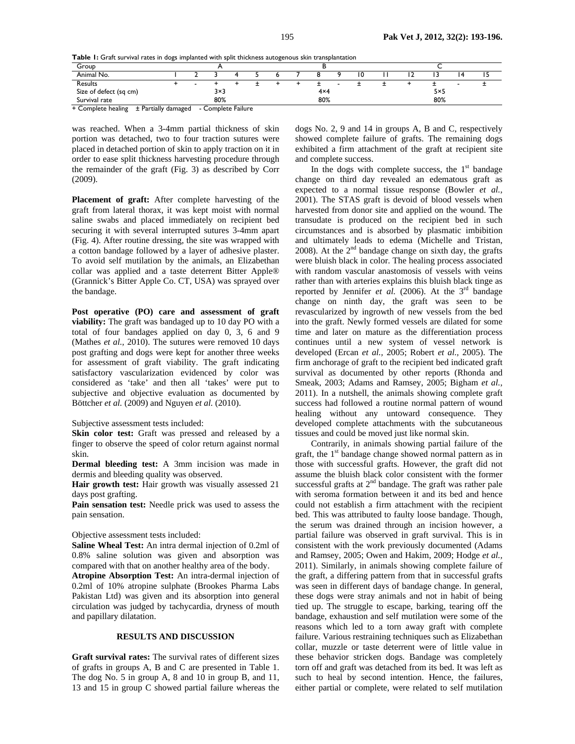**Table 1:** Graft survival rates in dogs implanted with split thickness autogenous skin transplantation

| Group                                 |                       |  |  |  |  |  |            |  |  |  |  |     |  |  |  |  |
|---------------------------------------|-----------------------|--|--|--|--|--|------------|--|--|--|--|-----|--|--|--|--|
| Animal No.                            |                       |  |  |  |  |  |            |  |  |  |  |     |  |  |  |  |
| Results                               |                       |  |  |  |  |  |            |  |  |  |  |     |  |  |  |  |
| Size of defect (sq cm)                | 3×3                   |  |  |  |  |  | $4\times4$ |  |  |  |  | 5×5 |  |  |  |  |
| Survival rate<br>$     -$<br>________ | 80%<br>$ -$<br>$\sim$ |  |  |  |  |  | 80%        |  |  |  |  | 80% |  |  |  |  |

+ Complete healing ± Partially damaged - Complete Failure

was reached. When a 3-4mm partial thickness of skin portion was detached, two to four traction sutures were placed in detached portion of skin to apply traction on it in order to ease split thickness harvesting procedure through the remainder of the graft (Fig. 3) as described by Corr (2009).

**Placement of graft:** After complete harvesting of the graft from lateral thorax, it was kept moist with normal saline swabs and placed immediately on recipient bed securing it with several interrupted sutures 3-4mm apart (Fig. 4). After routine dressing, the site was wrapped with a cotton bandage followed by a layer of adhesive plaster. To avoid self mutilation by the animals, an Elizabethan collar was applied and a taste deterrent Bitter Apple® (Grannick's Bitter Apple Co. CT, USA) was sprayed over the bandage.

**Post operative (PO) care and assessment of graft viability:** The graft was bandaged up to 10 day PO with a total of four bandages applied on day 0, 3, 6 and 9 (Mathes *et al.,* 2010). The sutures were removed 10 days post grafting and dogs were kept for another three weeks for assessment of graft viability. The graft indicating satisfactory vascularization evidenced by color was considered as 'take' and then all 'takes' were put to subjective and objective evaluation as documented by Böttcher *et al.* (2009) and Nguyen *et al.* (2010).

Subjective assessment tests included:

**Skin color test:** Graft was pressed and released by a finger to observe the speed of color return against normal skin.

**Dermal bleeding test:** A 3mm incision was made in dermis and bleeding quality was observed.

Hair growth test: Hair growth was visually assessed 21 days post grafting.

**Pain sensation test:** Needle prick was used to assess the pain sensation.

#### Objective assessment tests included:

**Saline Wheal Test:** An intra dermal injection of 0.2ml of 0.8% saline solution was given and absorption was compared with that on another healthy area of the body.

**Atropine Absorption Test:** An intra-dermal injection of 0.2ml of 10% atropine sulphate (Brookes Pharma Labs Pakistan Ltd) was given and its absorption into general circulation was judged by tachycardia, dryness of mouth and papillary dilatation.

#### **RESULTS AND DISCUSSION**

**Graft survival rates:** The survival rates of different sizes of grafts in groups A, B and C are presented in Table 1. The dog No. 5 in group A, 8 and 10 in group B, and 11, 13 and 15 in group C showed partial failure whereas the

dogs No. 2, 9 and 14 in groups A, B and C, respectively showed complete failure of grafts. The remaining dogs exhibited a firm attachment of the graft at recipient site and complete success.

In the dogs with complete success, the  $1<sup>st</sup>$  bandage change on third day revealed an edematous graft as expected to a normal tissue response (Bowler *et al.,* 2001). The STAS graft is devoid of blood vessels when harvested from donor site and applied on the wound. The transudate is produced on the recipient bed in such circumstances and is absorbed by plasmatic imbibition and ultimately leads to edema (Michelle and Tristan, 2008). At the  $2<sup>nd</sup>$  bandage change on sixth day, the grafts were bluish black in color. The healing process associated with random vascular anastomosis of vessels with veins rather than with arteries explains this bluish black tinge as reported by Jennifer *et al.* (2006). At the  $3<sup>rd</sup>$  bandage change on ninth day, the graft was seen to be revascularized by ingrowth of new vessels from the bed into the graft. Newly formed vessels are dilated for some time and later on mature as the differentiation process continues until a new system of vessel network is developed (Ercan *et al.,* 2005; Robert *et al.,* 2005). The firm anchorage of graft to the recipient bed indicated graft survival as documented by other reports (Rhonda and Smeak, 2003; Adams and Ramsey, 2005; Bigham *et al.,*  2011). In a nutshell, the animals showing complete graft success had followed a routine normal pattern of wound healing without any untoward consequence. They developed complete attachments with the subcutaneous tissues and could be moved just like normal skin.

Contrarily, in animals showing partial failure of the graft, the  $1<sup>st</sup>$  bandage change showed normal pattern as in those with successful grafts. However, the graft did not assume the bluish black color consistent with the former successful grafts at  $2<sup>nd</sup>$  bandage. The graft was rather pale with seroma formation between it and its bed and hence could not establish a firm attachment with the recipient bed. This was attributed to faulty loose bandage. Though, the serum was drained through an incision however, a partial failure was observed in graft survival. This is in consistent with the work previously documented (Adams and Ramsey, 2005; Owen and Hakim, 2009; Hodge *et al.,* 2011). Similarly, in animals showing complete failure of the graft, a differing pattern from that in successful grafts was seen in different days of bandage change. In general, these dogs were stray animals and not in habit of being tied up. The struggle to escape, barking, tearing off the bandage, exhaustion and self mutilation were some of the reasons which led to a torn away graft with complete failure. Various restraining techniques such as Elizabethan collar, muzzle or taste deterrent were of little value in these behavior stricken dogs. Bandage was completely torn off and graft was detached from its bed. It was left as such to heal by second intention. Hence, the failures, either partial or complete, were related to self mutilation